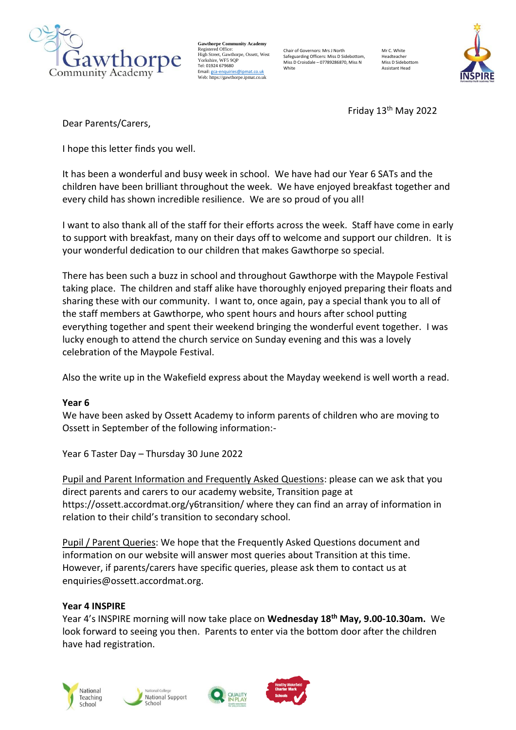

**Gawthorpe Community Academy** Registered Office: High Street, Gawthorpe, Ossett, West Yorkshire, WF5 9OF Tel: 01924 679680 Email[: gca-enquiries@ipmat.co.uk](mailto:gca-enquiries@ipmat.co.uk) Web: https://gawthorpe.ipmat.co.uk

Chair of Governors: Mrs J North Safeguarding Officers: Miss D Sidebottom, Miss D Croisdale – 07789286870, Miss N White

Mr C. White Headteacher Miss D Sidebotto Assistant Head



Friday 13th May 2022

Dear Parents/Carers,

I hope this letter finds you well.

It has been a wonderful and busy week in school. We have had our Year 6 SATs and the children have been brilliant throughout the week. We have enjoyed breakfast together and every child has shown incredible resilience. We are so proud of you all!

I want to also thank all of the staff for their efforts across the week. Staff have come in early to support with breakfast, many on their days off to welcome and support our children. It is your wonderful dedication to our children that makes Gawthorpe so special.

There has been such a buzz in school and throughout Gawthorpe with the Maypole Festival taking place. The children and staff alike have thoroughly enjoyed preparing their floats and sharing these with our community. I want to, once again, pay a special thank you to all of the staff members at Gawthorpe, who spent hours and hours after school putting everything together and spent their weekend bringing the wonderful event together. I was lucky enough to attend the church service on Sunday evening and this was a lovely celebration of the Maypole Festival.

Also the write up in the Wakefield express about the Mayday weekend is well worth a read.

# **Year 6**

We have been asked by Ossett Academy to inform parents of children who are moving to Ossett in September of the following information:-

Year 6 Taster Day – Thursday 30 June 2022

Pupil and Parent Information and Frequently Asked Questions: please can we ask that you direct parents and carers to our academy website, Transition page at https://ossett.accordmat.org/y6transition/ where they can find an array of information in relation to their child's transition to secondary school.

Pupil / Parent Queries: We hope that the Frequently Asked Questions document and information on our website will answer most queries about Transition at this time. However, if parents/carers have specific queries, please ask them to contact us at enquiries@ossett.accordmat.org.

# **Year 4 INSPIRE**

Year 4's INSPIRE morning will now take place on **Wednesday 18th May, 9.00-10.30am.** We look forward to seeing you then. Parents to enter via the bottom door after the children have had registration.







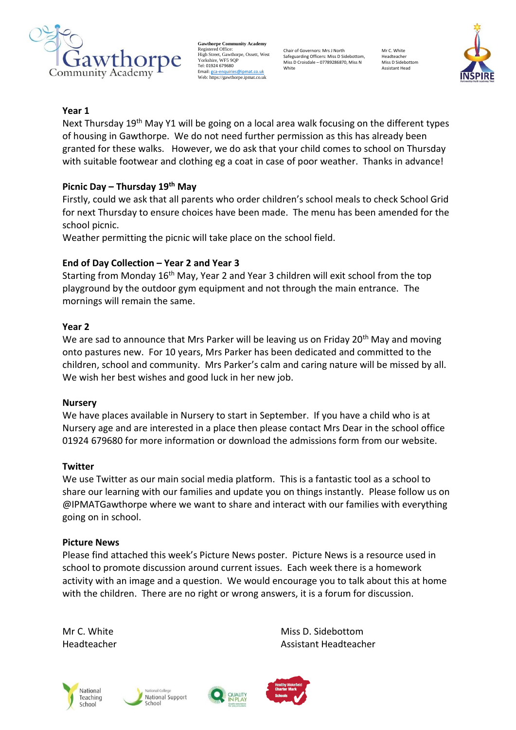

**Gawthorpe Community Academy** Registered Office: High Street, Gawthorpe, Ossett, West Yorkshire, WF5 9OF Tel: 01924 679680 Email[: gca-enquiries@ipmat.co.uk](mailto:gca-enquiries@ipmat.co.uk) Web: https://gawthorpe.ipmat.co.uk

Chair of Governors: Mrs J North Safeguarding Officers: Miss D Sidebottom, Miss D Croisdale – 07789286870, Miss N White

Mr C. White Headteacher Miss D Sidebotto Assistant Head



### **Year 1**

Next Thursday 19<sup>th</sup> May Y1 will be going on a local area walk focusing on the different types of housing in Gawthorpe. We do not need further permission as this has already been granted for these walks. However, we do ask that your child comes to school on Thursday with suitable footwear and clothing eg a coat in case of poor weather. Thanks in advance!

## **Picnic Day – Thursday 19th May**

Firstly, could we ask that all parents who order children's school meals to check School Grid for next Thursday to ensure choices have been made. The menu has been amended for the school picnic.

Weather permitting the picnic will take place on the school field.

### **End of Day Collection – Year 2 and Year 3**

Starting from Monday 16<sup>th</sup> May, Year 2 and Year 3 children will exit school from the top playground by the outdoor gym equipment and not through the main entrance. The mornings will remain the same.

#### **Year 2**

We are sad to announce that Mrs Parker will be leaving us on Friday 20<sup>th</sup> May and moving onto pastures new. For 10 years, Mrs Parker has been dedicated and committed to the children, school and community. Mrs Parker's calm and caring nature will be missed by all. We wish her best wishes and good luck in her new job.

#### **Nursery**

We have places available in Nursery to start in September. If you have a child who is at Nursery age and are interested in a place then please contact Mrs Dear in the school office 01924 679680 for more information or download the admissions form from our website.

#### **Twitter**

We use Twitter as our main social media platform. This is a fantastic tool as a school to share our learning with our families and update you on things instantly. Please follow us on @IPMATGawthorpe where we want to share and interact with our families with everything going on in school.

#### **Picture News**

Please find attached this week's Picture News poster.  Picture News is a resource used in school to promote discussion around current issues.  Each week there is a homework activity with an image and a question.  We would encourage you to talk about this at home with the children.  There are no right or wrong answers, it is a forum for discussion.   

Mr C. White Miss D. Sidebottom Miss D. Sidebottom Headteacher Assistant Headteacher